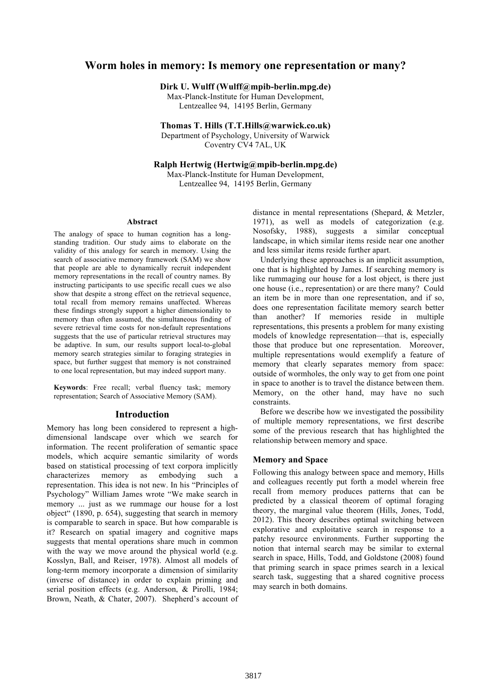# **Worm holes in memory: Is memory one representation or many?**

**Dirk U. Wulff (Wulff@mpib-berlin.mpg.de)**

Max-Planck-Institute for Human Development, Lentzeallee 94, 14195 Berlin, Germany

**Thomas T. Hills (T.T.Hills@warwick.co.uk)** Department of Psychology, University of Warwick Coventry CV4 7AL, UK

**Ralph Hertwig (Hertwig@mpib-berlin.mpg.de)** Max-Planck-Institute for Human Development,

Lentzeallee 94, 14195 Berlin, Germany

#### **Abstract**

The analogy of space to human cognition has a longstanding tradition. Our study aims to elaborate on the validity of this analogy for search in memory. Using the search of associative memory framework (SAM) we show that people are able to dynamically recruit independent memory representations in the recall of country names. By instructing participants to use specific recall cues we also show that despite a strong effect on the retrieval sequence, total recall from memory remains unaffected. Whereas these findings strongly support a higher dimensionality to memory than often assumed, the simultaneous finding of severe retrieval time costs for non-default representations suggests that the use of particular retrieval structures may be adaptive. In sum, our results support local-to-global memory search strategies similar to foraging strategies in space, but further suggest that memory is not constrained to one local representation, but may indeed support many.

**Keywords**: Free recall; verbal fluency task; memory representation; Search of Associative Memory (SAM).

## **Introduction**

Memory has long been considered to represent a highdimensional landscape over which we search for information. The recent proliferation of semantic space models, which acquire semantic similarity of words based on statistical processing of text corpora implicitly characterizes memory as embodying such a representation. This idea is not new. In his "Principles of Psychology" William James wrote "We make search in memory ... just as we rummage our house for a lost object" (1890, p. 654), suggesting that search in memory is comparable to search in space. But how comparable is it? Research on spatial imagery and cognitive maps suggests that mental operations share much in common with the way we move around the physical world (e.g. Kosslyn, Ball, and Reiser, 1978). Almost all models of long-term memory incorporate a dimension of similarity (inverse of distance) in order to explain priming and serial position effects (e.g. Anderson, & Pirolli, 1984; Brown, Neath, & Chater, 2007). Shepherd's account of

distance in mental representations (Shepard, & Metzler, 1971), as well as models of categorization (e.g. Nosofsky, 1988), suggests a similar conceptual landscape, in which similar items reside near one another and less similar items reside further apart.

Underlying these approaches is an implicit assumption, one that is highlighted by James. If searching memory is like rummaging our house for a lost object, is there just one house (i.e., representation) or are there many? Could an item be in more than one representation, and if so, does one representation facilitate memory search better than another? If memories reside in multiple representations, this presents a problem for many existing models of knowledge representation—that is, especially those that produce but one representation. Moreover, multiple representations would exemplify a feature of memory that clearly separates memory from space: outside of wormholes, the only way to get from one point in space to another is to travel the distance between them. Memory, on the other hand, may have no such constraints.

Before we describe how we investigated the possibility of multiple memory representations, we first describe some of the previous research that has highlighted the relationship between memory and space.

#### **Memory and Space**

Following this analogy between space and memory, Hills and colleagues recently put forth a model wherein free recall from memory produces patterns that can be predicted by a classical theorem of optimal foraging theory, the marginal value theorem (Hills, Jones, Todd, 2012). This theory describes optimal switching between explorative and exploitative search in response to a patchy resource environments. Further supporting the notion that internal search may be similar to external search in space, Hills, Todd, and Goldstone (2008) found that priming search in space primes search in a lexical search task, suggesting that a shared cognitive process may search in both domains.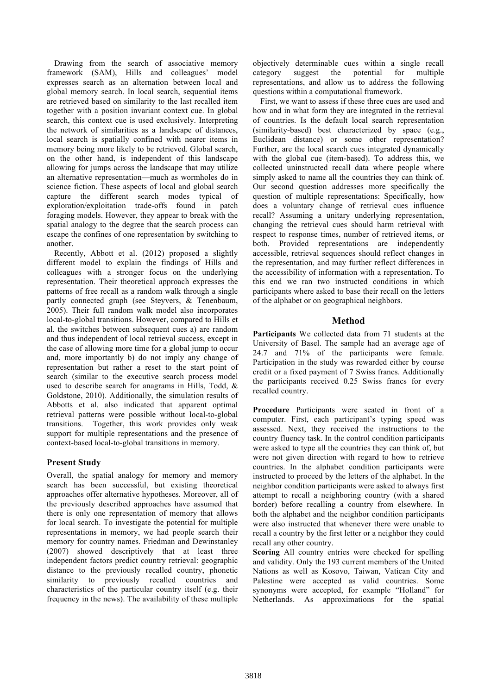Drawing from the search of associative memory framework (SAM), Hills and colleagues' model expresses search as an alternation between local and global memory search. In local search, sequential items are retrieved based on similarity to the last recalled item together with a position invariant context cue. In global search, this context cue is used exclusively. Interpreting the network of similarities as a landscape of distances, local search is spatially confined with nearer items in memory being more likely to be retrieved. Global search, on the other hand, is independent of this landscape allowing for jumps across the landscape that may utilize an alternative representation—much as wormholes do in science fiction. These aspects of local and global search capture the different search modes typical of exploration/exploitation trade-offs found in patch foraging models. However, they appear to break with the spatial analogy to the degree that the search process can escape the confines of one representation by switching to another.

Recently, Abbott et al. (2012) proposed a slightly different model to explain the findings of Hills and colleagues with a stronger focus on the underlying representation. Their theoretical approach expresses the patterns of free recall as a random walk through a single partly connected graph (see Steyvers, & Tenenbaum, 2005). Their full random walk model also incorporates local-to-global transitions. However, compared to Hills et al. the switches between subsequent cues a) are random and thus independent of local retrieval success, except in the case of allowing more time for a global jump to occur and, more importantly b) do not imply any change of representation but rather a reset to the start point of search (similar to the executive search process model used to describe search for anagrams in Hills, Todd, & Goldstone, 2010). Additionally, the simulation results of Abbotts et al. also indicated that apparent optimal retrieval patterns were possible without local-to-global transitions. Together, this work provides only weak support for multiple representations and the presence of context-based local-to-global transitions in memory.

# **Present Study**

Overall, the spatial analogy for memory and memory search has been successful, but existing theoretical approaches offer alternative hypotheses. Moreover, all of the previously described approaches have assumed that there is only one representation of memory that allows for local search. To investigate the potential for multiple representations in memory, we had people search their memory for country names. Friedman and Dewinstanley (2007) showed descriptively that at least three independent factors predict country retrieval: geographic distance to the previously recalled country, phonetic similarity to previously recalled countries and characteristics of the particular country itself (e.g. their frequency in the news). The availability of these multiple

objectively determinable cues within a single recall category suggest the potential for multiple representations, and allow us to address the following questions within a computational framework.

First, we want to assess if these three cues are used and how and in what form they are integrated in the retrieval of countries. Is the default local search representation (similarity-based) best characterized by space (e.g., Euclidean distance) or some other representation? Further, are the local search cues integrated dynamically with the global cue (item-based). To address this, we collected uninstructed recall data where people where simply asked to name all the countries they can think of. Our second question addresses more specifically the question of multiple representations: Specifically, how does a voluntary change of retrieval cues influence recall? Assuming a unitary underlying representation, changing the retrieval cues should harm retrieval with respect to response times, number of retrieved items, or both. Provided representations are independently accessible, retrieval sequences should reflect changes in the representation, and may further reflect differences in the accessibility of information with a representation. To this end we ran two instructed conditions in which participants where asked to base their recall on the letters of the alphabet or on geographical neighbors.

# **Method**

**Participants** We collected data from 71 students at the University of Basel. The sample had an average age of 24.7 and 71% of the participants were female. Participation in the study was rewarded either by course credit or a fixed payment of 7 Swiss francs. Additionally the participants received 0.25 Swiss francs for every recalled country.

**Procedure** Participants were seated in front of a computer. First, each participant's typing speed was assessed. Next, they received the instructions to the country fluency task. In the control condition participants were asked to type all the countries they can think of, but were not given direction with regard to how to retrieve countries. In the alphabet condition participants were instructed to proceed by the letters of the alphabet. In the neighbor condition participants were asked to always first attempt to recall a neighboring country (with a shared border) before recalling a country from elsewhere. In both the alphabet and the neighbor condition participants were also instructed that whenever there were unable to recall a country by the first letter or a neighbor they could recall any other country.

**Scoring** All country entries were checked for spelling and validity. Only the 193 current members of the United Nations as well as Kosovo, Taiwan, Vatican City and Palestine were accepted as valid countries. Some synonyms were accepted, for example "Holland" for Netherlands. As approximations for the spatial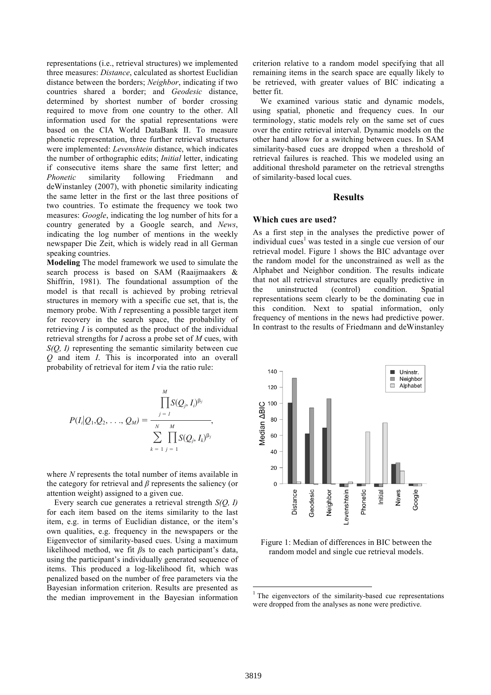representations (i.e., retrieval structures) we implemented three measures: *Distance*, calculated as shortest Euclidian distance between the borders; *Neighbor*, indicating if two countries shared a border; and *Geodesic* distance, determined by shortest number of border crossing required to move from one country to the other. All information used for the spatial representations were based on the CIA World DataBank II. To measure phonetic representation, three further retrieval structures were implemented: *Levenshtein* distance, which indicates the number of orthographic edits; *Initial* letter, indicating if consecutive items share the same first letter; and addition of the entire category of animals. In addition, Phonetic similarity following Friedmann and of deWinstanley (2007), with phonetic similarity indicating the same letter in the first or the last three positions of two countries. To estimate the frequency we took two measures: *Google*, indicating the log number of hits for a **W** country generated by a Google search, and *News*,  $\frac{1}{2}$  coding the log number of mentions in the weekly and the animal  $\frac{1}{2}$  as indicating the log number of mentions in the weekly newspaper Die Zeit, which is widely read in all German speaking countries. phon

> **Modeling** The model framework we used to simulate the the state of search is contained in the SAMM of the SAMM of the SAMM of the SAMM of the SAMM of the SAMM of the SAMM of the SAMM of the SAMM of the SAMM of the SAMM of search process is based on SAM (Raaijmaakers  $\&$  A Shiffrin, 1981). The foundational assumption of the  $\frac{\text{th}}{\text{t}}$ model is that recall is achieved by probing retrieval the structure of the structure in the structure in the structure in the structure of the structure in the structure of the structure in the structure of the structure i structures in memory with a specific cue set, that is, the memory probe. With *I* representing a possible target item the memory probe. With *I* representing a possible target item for recovery in the search space, the probability of free recovery in the search space, the probability of retrieving  $\overrightarrow{I}$  is computed as the product of the individual  $\overrightarrow{I}$  In retrieval strengths for *I* across a probe set of *M* cues, with  $S(Q, I)$  representing the semantic similarity between cue  $Q$  and item *I*. This is incorporated into an overall probability of retrieval for item *I* via the ratio rule:

$$
P(I_i|Q_1,Q_2,\ldots,Q_M) = \frac{\prod_{j=1}^M S(Q_j,I_i)^{\beta_j}}{\sum_{k=1}^N \prod_{j=1}^M S(Q_j,I_k)^{\beta_j}},
$$

where *N* represents the total number of items available in where *N* represents the total number of hems available in the category for retrieval and  $\beta$  represents the saliency (or  $\alpha$  attention weight) assigned to a given cue.

Every search cue generates a retrieval strength  $S(Q, I)$ for each item based on the items similarity to the last item, e.g. in terms of Euclidian distance, or the item's own qualities, e.g. frequency in the newspapers or the Eigenvector of similarity-based cues. Using a maximum likelihood method, we fit *β*s to each participant's data, which generates a *local* search generates a *local* search generates a *local* search generates a *local* search generates a local search generates a local searc using the participant's individually generated sequence of using the participant's individually generated sequence of items. This produced a log-likelihood fit, which was penalized based on the number of free parameters via the Bayesian information criterion. Results are presented as the median improvement in the Bayesian information

criterion relative to a random model specifying that all remaining items in the search space are equally likely to be retrieved, with greater values of BIC indicating a better fit.

We examined various static and dynamic models, using spatial, phonetic and frequency cues. In our terminology, static models rely on the same set of cues over the entire retrieval interval. Dynamic models on the other hand allow for a switching between cues. In SAM similarity-based cues are dropped when a threshold of retrieval failures is reached. This we modeled using an additional threshold parameter on the retrieval strengths of similarity-based local cues.

## **Results**

#### **Which cues are used?**

As a first step in the analyses the predictive power of individual cues<sup>1</sup> was tested in a single cue version of our retrieval model. Figure 1 shows the BIC advantage over the random model for the unconstrained as well as the Alphabet and Neighbor condition. The results indicate that not all retrieval structures are equally predictive in the uninstructed (control) condition. Spatial representations seem clearly to be the dominating cue in this condition. Next to spatial information, only frequency of mentions in the news had predictive power. In contrast to the results of Friedmann and deWinstanley



Figure 1: Median of differences in BIC between the random model and single cue retrieval models.

 

 $1$  The eigenvectors of the similarity-based cue representations were dropped from the analyses as none were predictive.  $\mathbf{w}_0$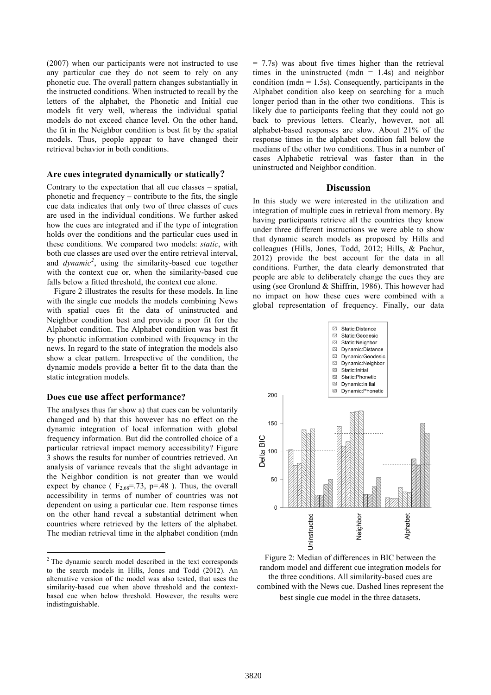(2007) when our participants were not instructed to use any particular cue they do not seem to rely on any phonetic cue. The overall pattern changes substantially in the instructed conditions. When instructed to recall by the letters of the alphabet, the Phonetic and Initial cue models fit very well, whereas the individual spatial models do not exceed chance level. On the other hand, the fit in the Neighbor condition is best fit by the spatial models. Thus, people appear to have changed their retrieval behavior in both conditions.

#### **Are cues integrated dynamically or statically?**

Contrary to the expectation that all cue classes – spatial, phonetic and frequency – contribute to the fits, the single cue data indicates that only two of three classes of cues are used in the individual conditions. We further asked how the cues are integrated and if the type of integration holds over the conditions and the particular cues used in these conditions. We compared two models: *static*, with both cue classes are used over the entire retrieval interval, and *dynamic<sup>2</sup>* , using the similarity-based cue together with the context cue or, when the similarity-based cue falls below a fitted threshold, the context cue alone.

Figure 2 illustrates the results for these models. In line with the single cue models the models combining News with spatial cues fit the data of uninstructed and Neighbor condition best and provide a poor fit for the Alphabet condition. The Alphabet condition was best fit by phonetic information combined with frequency in the news. In regard to the state of integration the models also show a clear pattern. Irrespective of the condition, the dynamic models provide a better fit to the data than the static integration models.

## **Does cue use affect performance?**

 

The analyses thus far show a) that cues can be voluntarily changed and b) that this however has no effect on the dynamic integration of local information with global frequency information. But did the controlled choice of a particular retrieval impact memory accessibility? Figure 3 shows the results for number of countries retrieved. An analysis of variance reveals that the slight advantage in the Neighbor condition is not greater than we would expect by chance ( $F_{2,68}$ =.73, p=.48). Thus, the overall accessibility in terms of number of countries was not dependent on using a particular cue. Item response times on the other hand reveal a substantial detriment when countries where retrieved by the letters of the alphabet. The median retrieval time in the alphabet condition (mdn

= 7.7s) was about five times higher than the retrieval times in the uninstructed (mdn  $= 1.4$ s) and neighbor condition ( $mdn = 1.5s$ ). Consequently, participants in the Alphabet condition also keep on searching for a much longer period than in the other two conditions. This is likely due to participants feeling that they could not go back to previous letters. Clearly, however, not all alphabet-based responses are slow. About 21% of the response times in the alphabet condition fall below the medians of the other two conditions. Thus in a number of cases Alphabetic retrieval was faster than in the uninstructed and Neighbor condition.

## **Discussion**

In this study we were interested in the utilization and integration of multiple cues in retrieval from memory. By having participants retrieve all the countries they know under three different instructions we were able to show that dynamic search models as proposed by Hills and colleagues (Hills, Jones, Todd, 2012; Hills, & Pachur, 2012) provide the best account for the data in all conditions. Further, the data clearly demonstrated that people are able to deliberately change the cues they are using (see Gronlund & Shiffrin, 1986). This however had no impact on how these cues were combined with a global representation of frequency. Finally, our data



Figure 2: Median of differences in BIC between the random model and different cue integration models for the three conditions. All similarity-based cues are combined with the News cue. Dashed lines represent the

best single cue model in the three datasets.

 $2$  The dynamic search model described in the text corresponds to the search models in Hills, Jones and Todd (2012). An alternative version of the model was also tested, that uses the similarity-based cue when above threshold and the contextbased cue when below threshold. However, the results were indistinguishable.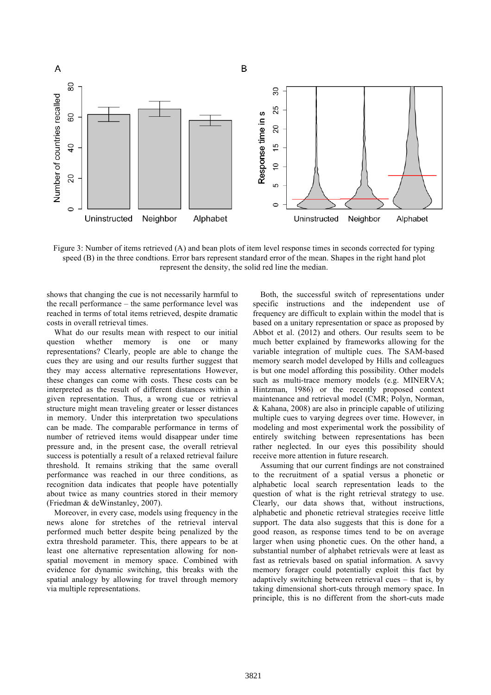

Figure 3: Number of items retrieved (A) and bean plots of item level response times in seconds corrected for typing speed (B) in the three condtions. Error bars represent standard error of the mean. Shapes in the right hand plot represent the density, the solid red line the median.

shows that changing the cue is not necessarily harmful to the recall performance – the same performance level was reached in terms of total items retrieved, despite dramatic costs in overall retrieval times.

What do our results mean with respect to our initial question whether memory is one or many representations? Clearly, people are able to change the cues they are using and our results further suggest that they may access alternative representations However, these changes can come with costs. These costs can be interpreted as the result of different distances within a given representation. Thus, a wrong cue or retrieval structure might mean traveling greater or lesser distances in memory. Under this interpretation two speculations can be made. The comparable performance in terms of number of retrieved items would disappear under time pressure and, in the present case, the overall retrieval success is potentially a result of a relaxed retrieval failure threshold. It remains striking that the same overall performance was reached in our three conditions, as recognition data indicates that people have potentially about twice as many countries stored in their memory (Friedman & deWinstanley, 2007).

Moreover, in every case, models using frequency in the news alone for stretches of the retrieval interval performed much better despite being penalized by the extra threshold parameter. This, there appears to be at least one alternative representation allowing for nonspatial movement in memory space. Combined with evidence for dynamic switching, this breaks with the spatial analogy by allowing for travel through memory via multiple representations.

Both, the successful switch of representations under specific instructions and the independent use of frequency are difficult to explain within the model that is based on a unitary representation or space as proposed by Abbot et al. (2012) and others. Our results seem to be much better explained by frameworks allowing for the variable integration of multiple cues. The SAM-based memory search model developed by Hills and colleagues is but one model affording this possibility. Other models such as multi-trace memory models (e.g. MINERVA; Hintzman, 1986) or the recently proposed context maintenance and retrieval model (CMR; Polyn, Norman, & Kahana, 2008) are also in principle capable of utilizing multiple cues to varying degrees over time. However, in modeling and most experimental work the possibility of entirely switching between representations has been rather neglected. In our eyes this possibility should receive more attention in future research.

Assuming that our current findings are not constrained to the recruitment of a spatial versus a phonetic or alphabetic local search representation leads to the question of what is the right retrieval strategy to use. Clearly, our data shows that, without instructions, alphabetic and phonetic retrieval strategies receive little support. The data also suggests that this is done for a good reason, as response times tend to be on average larger when using phonetic cues. On the other hand, a substantial number of alphabet retrievals were at least as fast as retrievals based on spatial information. A savvy memory forager could potentially exploit this fact by adaptively switching between retrieval cues – that is, by taking dimensional short-cuts through memory space. In principle, this is no different from the short-cuts made